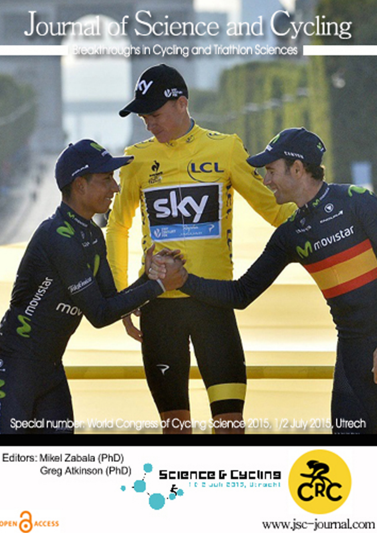## Journal of Science and Cycling

Breakthroughs in Cycling and Triathlon Sciences



Editors: Mikel Zabala (PhD) Greg Atkinson (PhD)

OPEN CACCESS





www.jsc-journal.com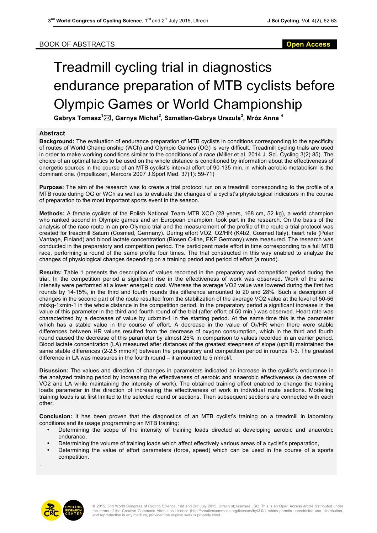## BOOK OF ABSTRACTS **Open Access**

## Treadmill cycling trial in diagnostics endurance preparation of MTB cyclists before Olympic Games or World Championship

**Gabrys Tomasz<sup>1</sup>** \***, Garnys Michal<sup>2</sup> , Szmatlan-Gabrys Urszula<sup>3</sup> , Mróz Anna <sup>4</sup>**

## **Abstract**

**Background:** The evaluation of endurance preparation of MTB cyclists in conditions corresponding to the specificity of routes of World Championship (WCh) and Olympic Games (OG) is very difficult. Treadmill cycling trials are used in order to make working conditions similar to the conditions of a race (Miller et al. 2014 J. Sci. Cycling 3(2) 85). The choice of an optimal tactics to be used on the whole distance is conditioned by information about the effectiveness of energetic sources in the course of an MTB cyclist's interval effort of 90-135 min, in which aerobic metabolism is the dominant one. (Impellizzeri, Marcora 2007 J.Sport Med. 37(1): 59-71)

**Purpose:** The aim of the research was to create a trial protocol run on a treadmill corresponding to the profile of a MTB route during OG or WCh as well as to evaluate the changes of a cyclist's physiological indicators in the course of preparation to the most important sports event in the season.

**Methods:** A female cyclists of the Polish National Team MTB XCO (28 years, 168 cm, 52 kg), a world champion who ranked second in Olympic games and an European champion, took part in the research. On the basis of the analysis of the race route in an pre-Olympic trial and the measurement of the profile of the route a trial protocol was created for treadmill Saturn (Cosmed, Germany). During effort VO2, O2/HR (K4b2, Cosmed Italy), heart rate (Polar Vantage, Finland) and blood lactate concentration (Biosen C-line, EKF Germany) were measured. The research was conducted in the preparatory and competition period. The participant made effort in time corresponding to a full MTB race, performing a round of the same profile four times. The trial constructed in this way enabled to analyze the changes of physiological changes depending on a training period and period of effort (a round).

**Results:** Table 1 presents the description of values recorded in the preparatory and competition period during the trial. In the competition period a significant rise in the effectiveness of work was observed. Work of the same intensity were performed at a lower energetic cost. Whereas the average VO2 value was lowered during the first two rounds by 14-15%, in the third and fourth rounds this difference amounted to 20 and 28%. Such a description of changes in the second part of the route resulted from the stabilization of the average VO2 value at the level of 50-56 mlxkg-1xmin-1 in the whole distance in the competition period. In the preparatory period a significant increase in the value of this parameter in the third and fourth round of the trial (after effort of 50 min.) was observed. Heart rate was characterized by a decrease of value by udxmin-1 in the starting period. At the same time this is the parameter which has a stable value in the course of effort. A decrease in the value of  $O_2/HR$  when there were stable differences between HR values resulted from the decrease of oxygen consumption, which in the third and fourth round caused the decrease of this parameter by almost 25% in comparison to values recorded in an earlier period. Blood lactate concentration (LA) measured after distances of the greatest steepness of slope (uphill) maintained the same stable differences (2-2.5 mmol/l) between the preparatory and competition period in rounds 1-3. The greatest difference in LA was measures in the fourth round – it amounted to 5 mmol/l.

**Disussion:** The values and direction of changes in parameters indicated an increase in the cyclist's endurance in the analyzed training period by increasing the effectiveness of aerobic and anaerobic effectiveness (a decrease of VO2 and LA while maintaining the intensity of work). The obtained training effect enabled to change the training loads parameter in the direction of increasing the effectiveness of work in individual route sections. Modelling training loads is at first limited to the selected round or sections. Then subsequent sections are connected with each other.

**Conclusion:** It has been proven that the diagnostics of an MTB cyclist's training on a treadmill in laboratory conditions and its usage programming an MTB training:

- Determining the scope of the intensity of training loads directed at developing aerobic and anaerobic endurance,
- Determining the volume of training loads which affect effectively various areas of a cyclist's preparation,
- Determining the value of effort parameters (force, speed) which can be used in the course of a sports competition.



.